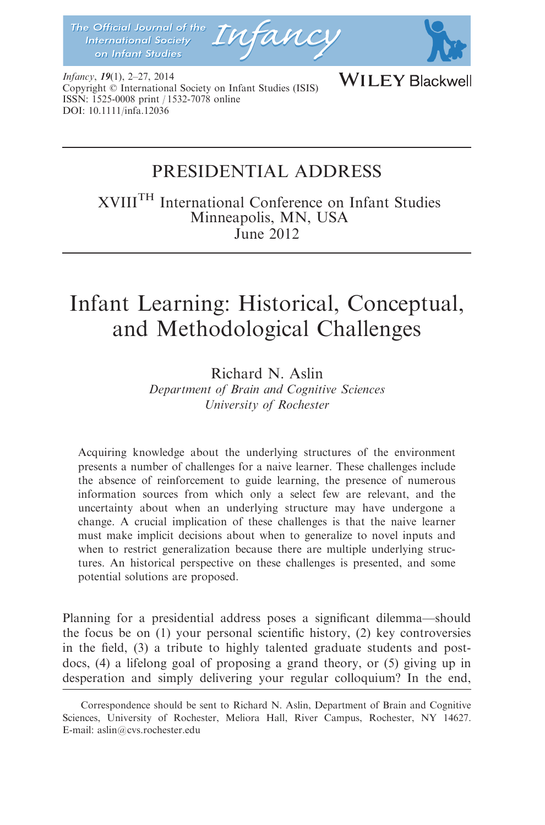The Official Journal of the **International Society** on Infant Studies

ifancy



Infancy, 19(1), 2–27, 2014 Copyright © International Society on Infant Studies (ISIS) ISSN: 1525-0008 print / 1532-7078 online DOI: 10.1111/infa.12036

**WILEY Blackwell** 

# PRESIDENTIAL ADDRESS

XVIIITH International Conference on Infant Studies Minneapolis, MN, USA June 2012

# Infant Learning: Historical, Conceptual, and Methodological Challenges

Richard N. Aslin

Department of Brain and Cognitive Sciences University of Rochester

Acquiring knowledge about the underlying structures of the environment presents a number of challenges for a naive learner. These challenges include the absence of reinforcement to guide learning, the presence of numerous information sources from which only a select few are relevant, and the uncertainty about when an underlying structure may have undergone a change. A crucial implication of these challenges is that the naive learner must make implicit decisions about when to generalize to novel inputs and when to restrict generalization because there are multiple underlying structures. An historical perspective on these challenges is presented, and some potential solutions are proposed.

Planning for a presidential address poses a significant dilemma—should the focus be on (1) your personal scientific history, (2) key controversies in the field, (3) a tribute to highly talented graduate students and postdocs, (4) a lifelong goal of proposing a grand theory, or (5) giving up in desperation and simply delivering your regular colloquium? In the end,

Correspondence should be sent to Richard N. Aslin, Department of Brain and Cognitive Sciences, University of Rochester, Meliora Hall, River Campus, Rochester, NY 14627. E-mail: aslin@cvs.rochester.edu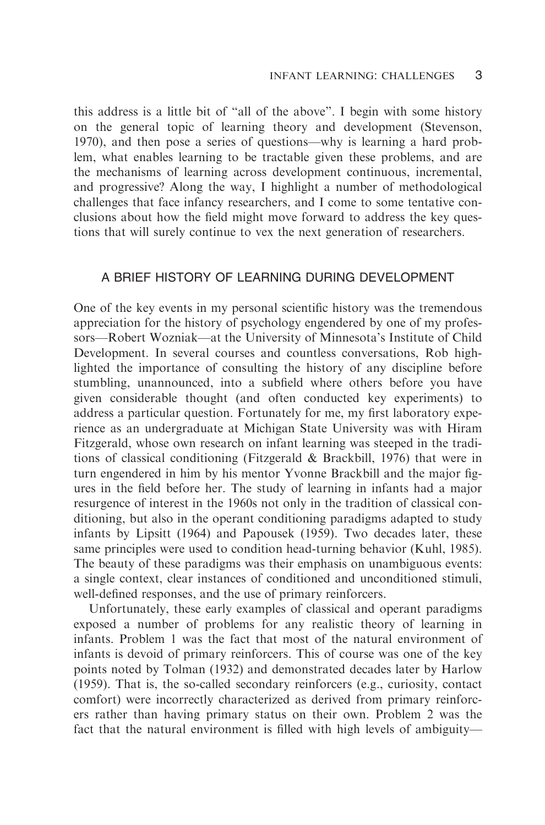this address is a little bit of "all of the above". I begin with some history on the general topic of learning theory and development (Stevenson, 1970), and then pose a series of questions—why is learning a hard problem, what enables learning to be tractable given these problems, and are the mechanisms of learning across development continuous, incremental, and progressive? Along the way, I highlight a number of methodological challenges that face infancy researchers, and I come to some tentative conclusions about how the field might move forward to address the key questions that will surely continue to vex the next generation of researchers.

# A BRIEF HISTORY OF LEARNING DURING DEVELOPMENT

One of the key events in my personal scientific history was the tremendous appreciation for the history of psychology engendered by one of my professors—Robert Wozniak—at the University of Minnesota's Institute of Child Development. In several courses and countless conversations, Rob highlighted the importance of consulting the history of any discipline before stumbling, unannounced, into a subfield where others before you have given considerable thought (and often conducted key experiments) to address a particular question. Fortunately for me, my first laboratory experience as an undergraduate at Michigan State University was with Hiram Fitzgerald, whose own research on infant learning was steeped in the traditions of classical conditioning (Fitzgerald & Brackbill, 1976) that were in turn engendered in him by his mentor Yvonne Brackbill and the major figures in the field before her. The study of learning in infants had a major resurgence of interest in the 1960s not only in the tradition of classical conditioning, but also in the operant conditioning paradigms adapted to study infants by Lipsitt (1964) and Papousek (1959). Two decades later, these same principles were used to condition head-turning behavior (Kuhl, 1985). The beauty of these paradigms was their emphasis on unambiguous events: a single context, clear instances of conditioned and unconditioned stimuli, well-defined responses, and the use of primary reinforcers.

Unfortunately, these early examples of classical and operant paradigms exposed a number of problems for any realistic theory of learning in infants. Problem 1 was the fact that most of the natural environment of infants is devoid of primary reinforcers. This of course was one of the key points noted by Tolman (1932) and demonstrated decades later by Harlow (1959). That is, the so-called secondary reinforcers (e.g., curiosity, contact comfort) were incorrectly characterized as derived from primary reinforcers rather than having primary status on their own. Problem 2 was the fact that the natural environment is filled with high levels of ambiguity—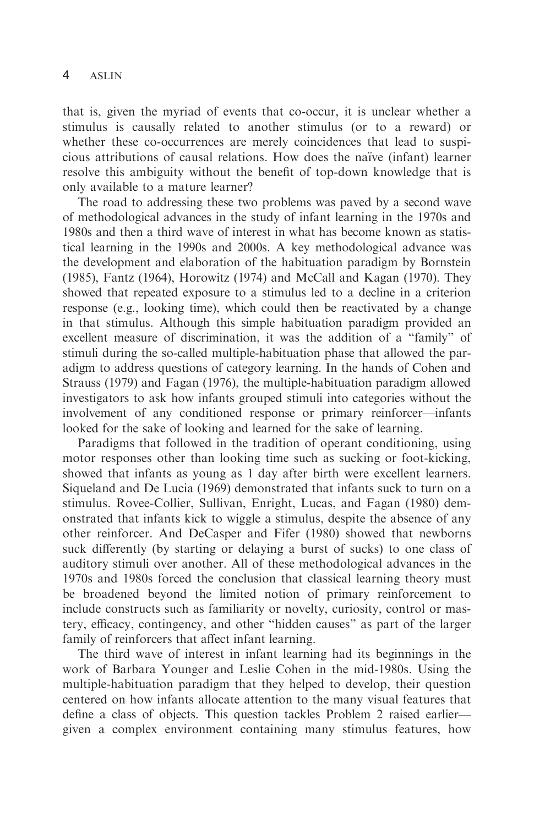that is, given the myriad of events that co-occur, it is unclear whether a stimulus is causally related to another stimulus (or to a reward) or whether these co-occurrences are merely coincidences that lead to suspicious attributions of causal relations. How does the naïve (infant) learner resolve this ambiguity without the benefit of top-down knowledge that is only available to a mature learner?

The road to addressing these two problems was paved by a second wave of methodological advances in the study of infant learning in the 1970s and 1980s and then a third wave of interest in what has become known as statistical learning in the 1990s and 2000s. A key methodological advance was the development and elaboration of the habituation paradigm by Bornstein (1985), Fantz (1964), Horowitz (1974) and McCall and Kagan (1970). They showed that repeated exposure to a stimulus led to a decline in a criterion response (e.g., looking time), which could then be reactivated by a change in that stimulus. Although this simple habituation paradigm provided an excellent measure of discrimination, it was the addition of a "family" of stimuli during the so-called multiple-habituation phase that allowed the paradigm to address questions of category learning. In the hands of Cohen and Strauss (1979) and Fagan (1976), the multiple-habituation paradigm allowed investigators to ask how infants grouped stimuli into categories without the involvement of any conditioned response or primary reinforcer—infants looked for the sake of looking and learned for the sake of learning.

Paradigms that followed in the tradition of operant conditioning, using motor responses other than looking time such as sucking or foot-kicking, showed that infants as young as 1 day after birth were excellent learners. Siqueland and De Lucia (1969) demonstrated that infants suck to turn on a stimulus. Rovee-Collier, Sullivan, Enright, Lucas, and Fagan (1980) demonstrated that infants kick to wiggle a stimulus, despite the absence of any other reinforcer. And DeCasper and Fifer (1980) showed that newborns suck differently (by starting or delaying a burst of sucks) to one class of auditory stimuli over another. All of these methodological advances in the 1970s and 1980s forced the conclusion that classical learning theory must be broadened beyond the limited notion of primary reinforcement to include constructs such as familiarity or novelty, curiosity, control or mastery, efficacy, contingency, and other "hidden causes" as part of the larger family of reinforcers that affect infant learning.

The third wave of interest in infant learning had its beginnings in the work of Barbara Younger and Leslie Cohen in the mid-1980s. Using the multiple-habituation paradigm that they helped to develop, their question centered on how infants allocate attention to the many visual features that define a class of objects. This question tackles Problem 2 raised earlier given a complex environment containing many stimulus features, how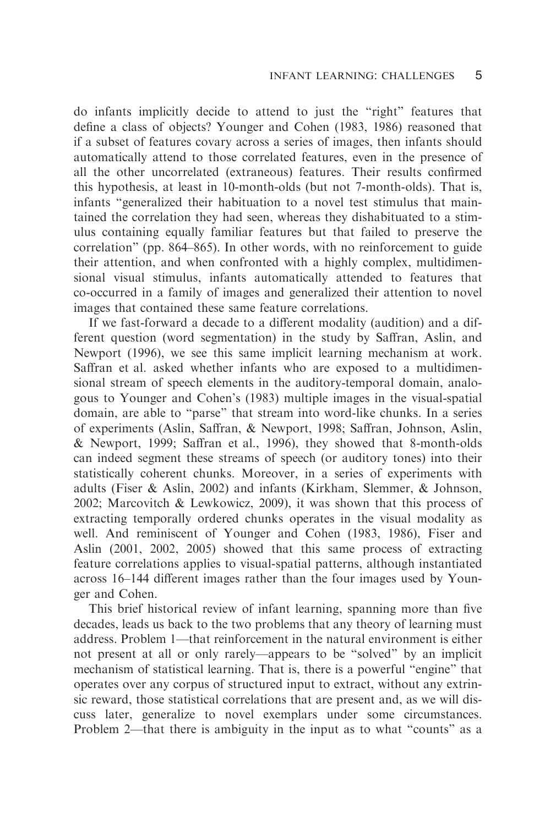do infants implicitly decide to attend to just the "right" features that define a class of objects? Younger and Cohen (1983, 1986) reasoned that if a subset of features covary across a series of images, then infants should automatically attend to those correlated features, even in the presence of all the other uncorrelated (extraneous) features. Their results confirmed this hypothesis, at least in 10-month-olds (but not 7-month-olds). That is, infants "generalized their habituation to a novel test stimulus that maintained the correlation they had seen, whereas they dishabituated to a stimulus containing equally familiar features but that failed to preserve the correlation" (pp. 864–865). In other words, with no reinforcement to guide their attention, and when confronted with a highly complex, multidimensional visual stimulus, infants automatically attended to features that co-occurred in a family of images and generalized their attention to novel images that contained these same feature correlations.

If we fast-forward a decade to a different modality (audition) and a different question (word segmentation) in the study by Saffran, Aslin, and Newport (1996), we see this same implicit learning mechanism at work. Saffran et al. asked whether infants who are exposed to a multidimensional stream of speech elements in the auditory-temporal domain, analogous to Younger and Cohen's (1983) multiple images in the visual-spatial domain, are able to "parse" that stream into word-like chunks. In a series of experiments (Aslin, Saffran, & Newport, 1998; Saffran, Johnson, Aslin, & Newport, 1999; Saffran et al., 1996), they showed that 8-month-olds can indeed segment these streams of speech (or auditory tones) into their statistically coherent chunks. Moreover, in a series of experiments with adults (Fiser & Aslin, 2002) and infants (Kirkham, Slemmer, & Johnson, 2002; Marcovitch & Lewkowicz, 2009), it was shown that this process of extracting temporally ordered chunks operates in the visual modality as well. And reminiscent of Younger and Cohen (1983, 1986), Fiser and Aslin (2001, 2002, 2005) showed that this same process of extracting feature correlations applies to visual-spatial patterns, although instantiated across 16–144 different images rather than the four images used by Younger and Cohen.

This brief historical review of infant learning, spanning more than five decades, leads us back to the two problems that any theory of learning must address. Problem 1—that reinforcement in the natural environment is either not present at all or only rarely—appears to be "solved" by an implicit mechanism of statistical learning. That is, there is a powerful "engine" that operates over any corpus of structured input to extract, without any extrinsic reward, those statistical correlations that are present and, as we will discuss later, generalize to novel exemplars under some circumstances. Problem 2—that there is ambiguity in the input as to what "counts" as a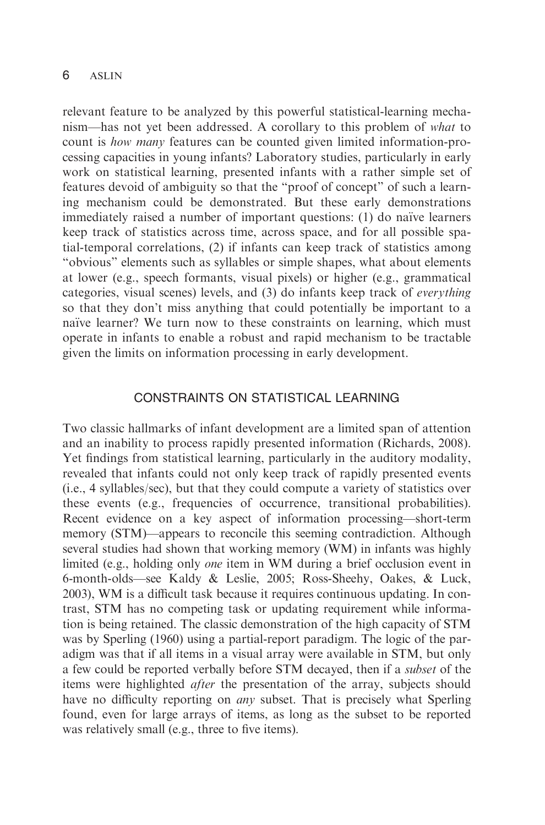relevant feature to be analyzed by this powerful statistical-learning mechanism—has not yet been addressed. A corollary to this problem of what to count is how many features can be counted given limited information-processing capacities in young infants? Laboratory studies, particularly in early work on statistical learning, presented infants with a rather simple set of features devoid of ambiguity so that the "proof of concept" of such a learning mechanism could be demonstrated. But these early demonstrations immediately raised a number of important questions: (1) do naïve learners keep track of statistics across time, across space, and for all possible spatial-temporal correlations, (2) if infants can keep track of statistics among "obvious" elements such as syllables or simple shapes, what about elements at lower (e.g., speech formants, visual pixels) or higher (e.g., grammatical categories, visual scenes) levels, and (3) do infants keep track of everything so that they don't miss anything that could potentially be important to a naïve learner? We turn now to these constraints on learning, which must operate in infants to enable a robust and rapid mechanism to be tractable given the limits on information processing in early development.

# CONSTRAINTS ON STATISTICAL LEARNING

Two classic hallmarks of infant development are a limited span of attention and an inability to process rapidly presented information (Richards, 2008). Yet findings from statistical learning, particularly in the auditory modality, revealed that infants could not only keep track of rapidly presented events (i.e., 4 syllables/sec), but that they could compute a variety of statistics over these events (e.g., frequencies of occurrence, transitional probabilities). Recent evidence on a key aspect of information processing—short-term memory (STM)—appears to reconcile this seeming contradiction. Although several studies had shown that working memory (WM) in infants was highly limited (e.g., holding only one item in WM during a brief occlusion event in 6-month-olds—see Kaldy & Leslie, 2005; Ross-Sheehy, Oakes, & Luck, 2003), WM is a difficult task because it requires continuous updating. In contrast, STM has no competing task or updating requirement while information is being retained. The classic demonstration of the high capacity of STM was by Sperling (1960) using a partial-report paradigm. The logic of the paradigm was that if all items in a visual array were available in STM, but only a few could be reported verbally before STM decayed, then if a subset of the items were highlighted *after* the presentation of the array, subjects should have no difficulty reporting on *any* subset. That is precisely what Sperling found, even for large arrays of items, as long as the subset to be reported was relatively small (e.g., three to five items).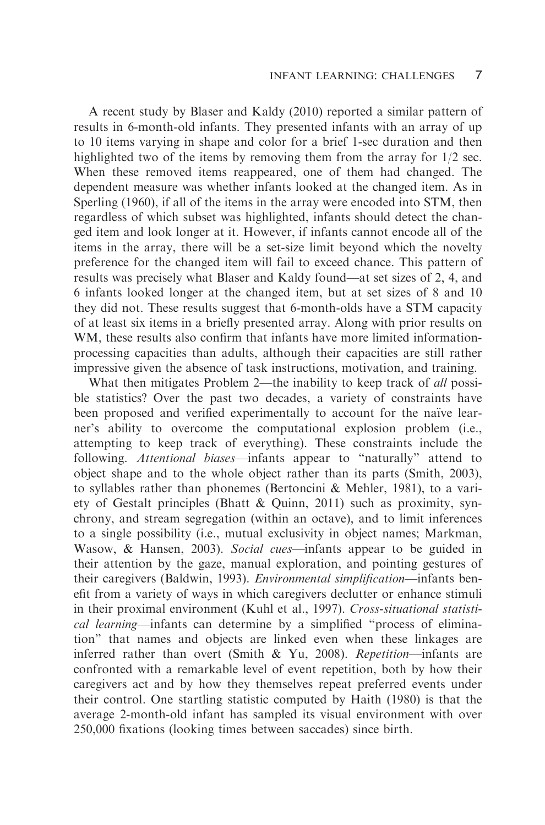A recent study by Blaser and Kaldy (2010) reported a similar pattern of results in 6-month-old infants. They presented infants with an array of up to 10 items varying in shape and color for a brief 1-sec duration and then highlighted two of the items by removing them from the array for 1/2 sec. When these removed items reappeared, one of them had changed. The dependent measure was whether infants looked at the changed item. As in Sperling (1960), if all of the items in the array were encoded into STM, then regardless of which subset was highlighted, infants should detect the changed item and look longer at it. However, if infants cannot encode all of the items in the array, there will be a set-size limit beyond which the novelty preference for the changed item will fail to exceed chance. This pattern of results was precisely what Blaser and Kaldy found—at set sizes of 2, 4, and 6 infants looked longer at the changed item, but at set sizes of 8 and 10 they did not. These results suggest that 6-month-olds have a STM capacity of at least six items in a briefly presented array. Along with prior results on WM, these results also confirm that infants have more limited informationprocessing capacities than adults, although their capacities are still rather impressive given the absence of task instructions, motivation, and training.

What then mitigates Problem 2—the inability to keep track of *all* possible statistics? Over the past two decades, a variety of constraints have been proposed and verified experimentally to account for the naïve learner's ability to overcome the computational explosion problem (i.e., attempting to keep track of everything). These constraints include the following. Attentional biases—infants appear to "naturally" attend to object shape and to the whole object rather than its parts (Smith, 2003), to syllables rather than phonemes (Bertoncini & Mehler, 1981), to a variety of Gestalt principles (Bhatt & Quinn, 2011) such as proximity, synchrony, and stream segregation (within an octave), and to limit inferences to a single possibility (i.e., mutual exclusivity in object names; Markman, Wasow, & Hansen, 2003). Social cues—infants appear to be guided in their attention by the gaze, manual exploration, and pointing gestures of their caregivers (Baldwin, 1993). Environmental simplification—infants benefit from a variety of ways in which caregivers declutter or enhance stimuli in their proximal environment (Kuhl et al., 1997). Cross-situational statistical learning—infants can determine by a simplified "process of elimination" that names and objects are linked even when these linkages are inferred rather than overt (Smith & Yu, 2008). Repetition—infants are confronted with a remarkable level of event repetition, both by how their caregivers act and by how they themselves repeat preferred events under their control. One startling statistic computed by Haith (1980) is that the average 2-month-old infant has sampled its visual environment with over 250,000 fixations (looking times between saccades) since birth.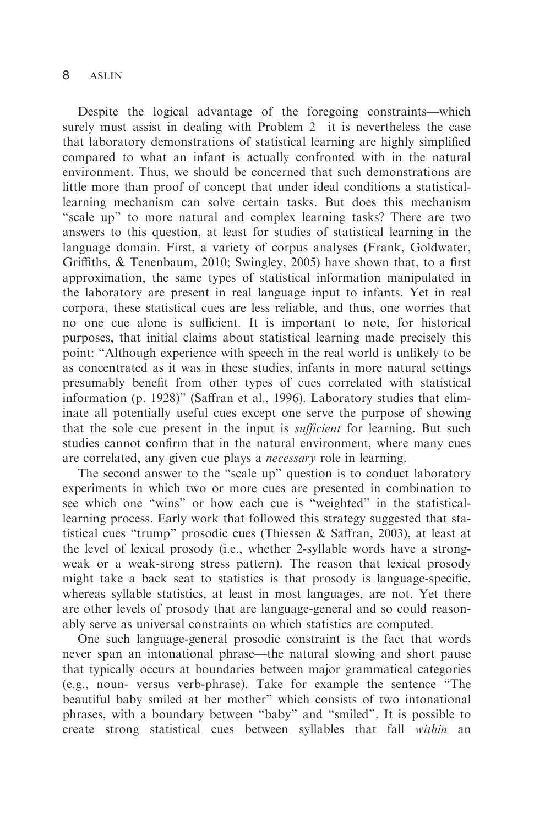Despite the logical advantage of the foregoing constraints—which surely must assist in dealing with Problem 2—it is nevertheless the case that laboratory demonstrations of statistical learning are highly simplified compared to what an infant is actually confronted with in the natural environment. Thus, we should be concerned that such demonstrations are little more than proof of concept that under ideal conditions a statisticallearning mechanism can solve certain tasks. But does this mechanism "scale up" to more natural and complex learning tasks? There are two answers to this question, at least for studies of statistical learning in the language domain. First, a variety of corpus analyses (Frank, Goldwater, Griffiths, & Tenenbaum, 2010; Swingley, 2005) have shown that, to a first approximation, the same types of statistical information manipulated in the laboratory are present in real language input to infants. Yet in real corpora, these statistical cues are less reliable, and thus, one worries that no one cue alone is sufficient. It is important to note, for historical purposes, that initial claims about statistical learning made precisely this point: "Although experience with speech in the real world is unlikely to be as concentrated as it was in these studies, infants in more natural settings presumably benefit from other types of cues correlated with statistical information (p. 1928)" (Saffran et al., 1996). Laboratory studies that eliminate all potentially useful cues except one serve the purpose of showing that the sole cue present in the input is *sufficient* for learning. But such studies cannot confirm that in the natural environment, where many cues are correlated, any given cue plays a necessary role in learning.

The second answer to the "scale up" question is to conduct laboratory experiments in which two or more cues are presented in combination to see which one "wins" or how each cue is "weighted" in the statisticallearning process. Early work that followed this strategy suggested that statistical cues "trump" prosodic cues (Thiessen & Saffran, 2003), at least at the level of lexical prosody (i.e., whether 2-syllable words have a strongweak or a weak-strong stress pattern). The reason that lexical prosody might take a back seat to statistics is that prosody is language-specific, whereas syllable statistics, at least in most languages, are not. Yet there are other levels of prosody that are language-general and so could reasonably serve as universal constraints on which statistics are computed.

One such language-general prosodic constraint is the fact that words never span an intonational phrase—the natural slowing and short pause that typically occurs at boundaries between major grammatical categories (e.g., noun- versus verb-phrase). Take for example the sentence "The beautiful baby smiled at her mother" which consists of two intonational phrases, with a boundary between "baby" and "smiled". It is possible to create strong statistical cues between syllables that fall within an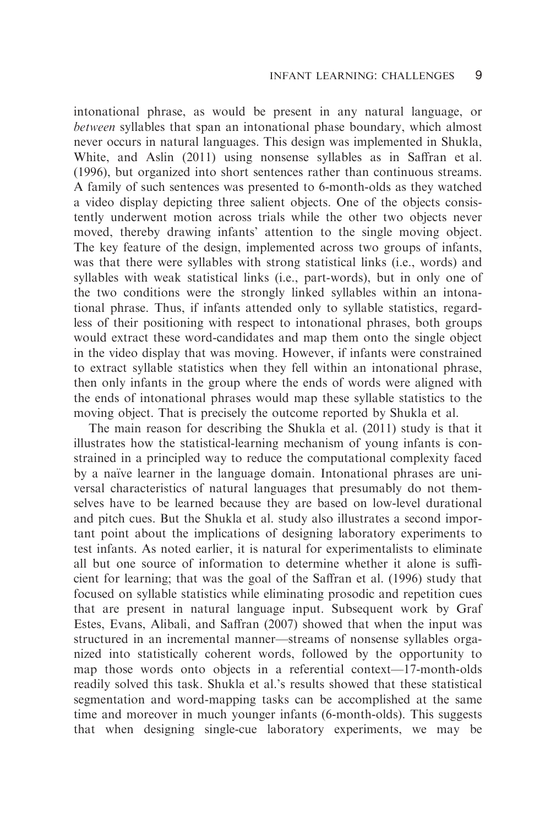intonational phrase, as would be present in any natural language, or between syllables that span an intonational phase boundary, which almost never occurs in natural languages. This design was implemented in Shukla, White, and Aslin (2011) using nonsense syllables as in Saffran et al. (1996), but organized into short sentences rather than continuous streams. A family of such sentences was presented to 6-month-olds as they watched a video display depicting three salient objects. One of the objects consistently underwent motion across trials while the other two objects never moved, thereby drawing infants' attention to the single moving object. The key feature of the design, implemented across two groups of infants, was that there were syllables with strong statistical links (i.e., words) and syllables with weak statistical links (i.e., part-words), but in only one of the two conditions were the strongly linked syllables within an intonational phrase. Thus, if infants attended only to syllable statistics, regardless of their positioning with respect to intonational phrases, both groups would extract these word-candidates and map them onto the single object in the video display that was moving. However, if infants were constrained to extract syllable statistics when they fell within an intonational phrase, then only infants in the group where the ends of words were aligned with the ends of intonational phrases would map these syllable statistics to the moving object. That is precisely the outcome reported by Shukla et al.

The main reason for describing the Shukla et al. (2011) study is that it illustrates how the statistical-learning mechanism of young infants is constrained in a principled way to reduce the computational complexity faced by a naïve learner in the language domain. Intonational phrases are universal characteristics of natural languages that presumably do not themselves have to be learned because they are based on low-level durational and pitch cues. But the Shukla et al. study also illustrates a second important point about the implications of designing laboratory experiments to test infants. As noted earlier, it is natural for experimentalists to eliminate all but one source of information to determine whether it alone is sufficient for learning; that was the goal of the Saffran et al. (1996) study that focused on syllable statistics while eliminating prosodic and repetition cues that are present in natural language input. Subsequent work by Graf Estes, Evans, Alibali, and Saffran (2007) showed that when the input was structured in an incremental manner—streams of nonsense syllables organized into statistically coherent words, followed by the opportunity to map those words onto objects in a referential context—17-month-olds readily solved this task. Shukla et al.'s results showed that these statistical segmentation and word-mapping tasks can be accomplished at the same time and moreover in much younger infants (6-month-olds). This suggests that when designing single-cue laboratory experiments, we may be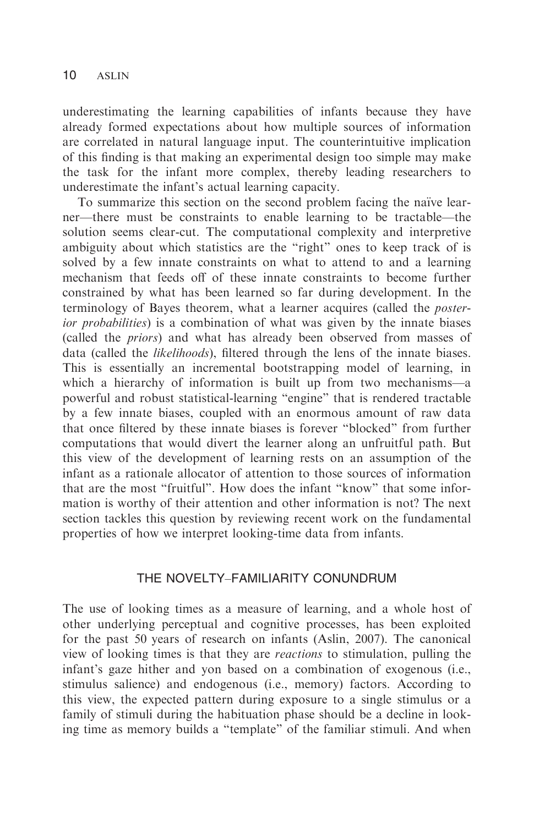underestimating the learning capabilities of infants because they have already formed expectations about how multiple sources of information are correlated in natural language input. The counterintuitive implication of this finding is that making an experimental design too simple may make the task for the infant more complex, thereby leading researchers to underestimate the infant's actual learning capacity.

To summarize this section on the second problem facing the naïve learner—there must be constraints to enable learning to be tractable—the solution seems clear-cut. The computational complexity and interpretive ambiguity about which statistics are the "right" ones to keep track of is solved by a few innate constraints on what to attend to and a learning mechanism that feeds off of these innate constraints to become further constrained by what has been learned so far during development. In the terminology of Bayes theorem, what a learner acquires (called the posterior probabilities) is a combination of what was given by the innate biases (called the priors) and what has already been observed from masses of data (called the likelihoods), filtered through the lens of the innate biases. This is essentially an incremental bootstrapping model of learning, in which a hierarchy of information is built up from two mechanisms—a powerful and robust statistical-learning "engine" that is rendered tractable by a few innate biases, coupled with an enormous amount of raw data that once filtered by these innate biases is forever "blocked" from further computations that would divert the learner along an unfruitful path. But this view of the development of learning rests on an assumption of the infant as a rationale allocator of attention to those sources of information that are the most "fruitful". How does the infant "know" that some information is worthy of their attention and other information is not? The next section tackles this question by reviewing recent work on the fundamental properties of how we interpret looking-time data from infants.

## THE NOVELTY–FAMILIARITY CONUNDRUM

The use of looking times as a measure of learning, and a whole host of other underlying perceptual and cognitive processes, has been exploited for the past 50 years of research on infants (Aslin, 2007). The canonical view of looking times is that they are reactions to stimulation, pulling the infant's gaze hither and yon based on a combination of exogenous (i.e., stimulus salience) and endogenous (i.e., memory) factors. According to this view, the expected pattern during exposure to a single stimulus or a family of stimuli during the habituation phase should be a decline in looking time as memory builds a "template" of the familiar stimuli. And when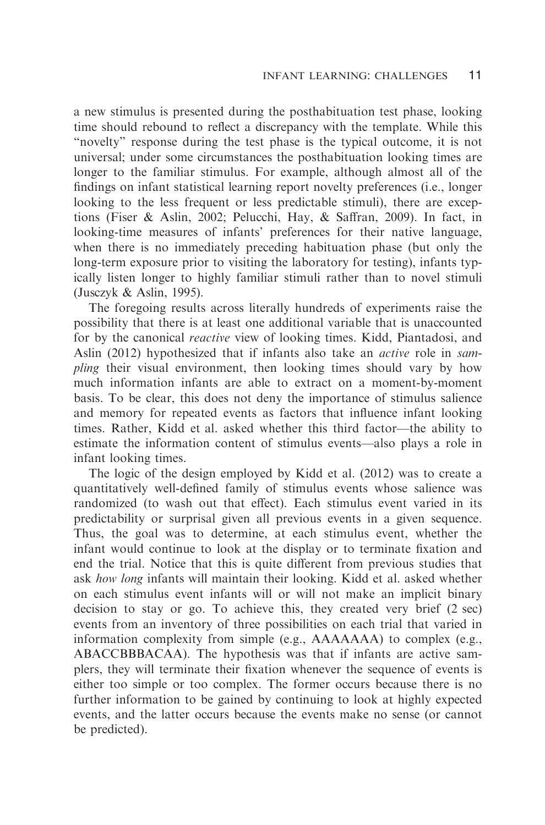a new stimulus is presented during the posthabituation test phase, looking time should rebound to reflect a discrepancy with the template. While this "novelty" response during the test phase is the typical outcome, it is not universal; under some circumstances the posthabituation looking times are longer to the familiar stimulus. For example, although almost all of the findings on infant statistical learning report novelty preferences (i.e., longer looking to the less frequent or less predictable stimuli), there are exceptions (Fiser & Aslin, 2002; Pelucchi, Hay, & Saffran, 2009). In fact, in looking-time measures of infants' preferences for their native language, when there is no immediately preceding habituation phase (but only the long-term exposure prior to visiting the laboratory for testing), infants typically listen longer to highly familiar stimuli rather than to novel stimuli (Jusczyk & Aslin, 1995).

The foregoing results across literally hundreds of experiments raise the possibility that there is at least one additional variable that is unaccounted for by the canonical reactive view of looking times. Kidd, Piantadosi, and Aslin (2012) hypothesized that if infants also take an active role in sampling their visual environment, then looking times should vary by how much information infants are able to extract on a moment-by-moment basis. To be clear, this does not deny the importance of stimulus salience and memory for repeated events as factors that influence infant looking times. Rather, Kidd et al. asked whether this third factor—the ability to estimate the information content of stimulus events—also plays a role in infant looking times.

The logic of the design employed by Kidd et al. (2012) was to create a quantitatively well-defined family of stimulus events whose salience was randomized (to wash out that effect). Each stimulus event varied in its predictability or surprisal given all previous events in a given sequence. Thus, the goal was to determine, at each stimulus event, whether the infant would continue to look at the display or to terminate fixation and end the trial. Notice that this is quite different from previous studies that ask how long infants will maintain their looking. Kidd et al. asked whether on each stimulus event infants will or will not make an implicit binary decision to stay or go. To achieve this, they created very brief (2 sec) events from an inventory of three possibilities on each trial that varied in information complexity from simple (e.g., AAAAAAA) to complex (e.g., ABACCBBBACAA). The hypothesis was that if infants are active samplers, they will terminate their fixation whenever the sequence of events is either too simple or too complex. The former occurs because there is no further information to be gained by continuing to look at highly expected events, and the latter occurs because the events make no sense (or cannot be predicted).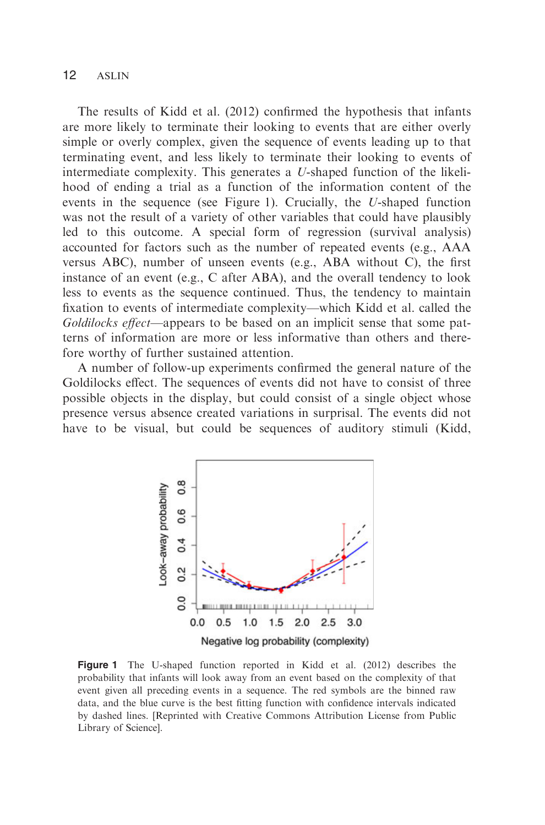The results of Kidd et al. (2012) confirmed the hypothesis that infants are more likely to terminate their looking to events that are either overly simple or overly complex, given the sequence of events leading up to that terminating event, and less likely to terminate their looking to events of intermediate complexity. This generates a U-shaped function of the likelihood of ending a trial as a function of the information content of the events in the sequence (see Figure 1). Crucially, the U-shaped function was not the result of a variety of other variables that could have plausibly led to this outcome. A special form of regression (survival analysis) accounted for factors such as the number of repeated events (e.g., AAA versus ABC), number of unseen events (e.g., ABA without C), the first instance of an event (e.g., C after ABA), and the overall tendency to look less to events as the sequence continued. Thus, the tendency to maintain fixation to events of intermediate complexity—which Kidd et al. called the Goldilocks effect—appears to be based on an implicit sense that some patterns of information are more or less informative than others and therefore worthy of further sustained attention.

A number of follow-up experiments confirmed the general nature of the Goldilocks effect. The sequences of events did not have to consist of three possible objects in the display, but could consist of a single object whose presence versus absence created variations in surprisal. The events did not have to be visual, but could be sequences of auditory stimuli (Kidd,



Figure 1 The U-shaped function reported in Kidd et al. (2012) describes the probability that infants will look away from an event based on the complexity of that event given all preceding events in a sequence. The red symbols are the binned raw data, and the blue curve is the best fitting function with confidence intervals indicated by dashed lines. [Reprinted with Creative Commons Attribution License from Public Library of Science].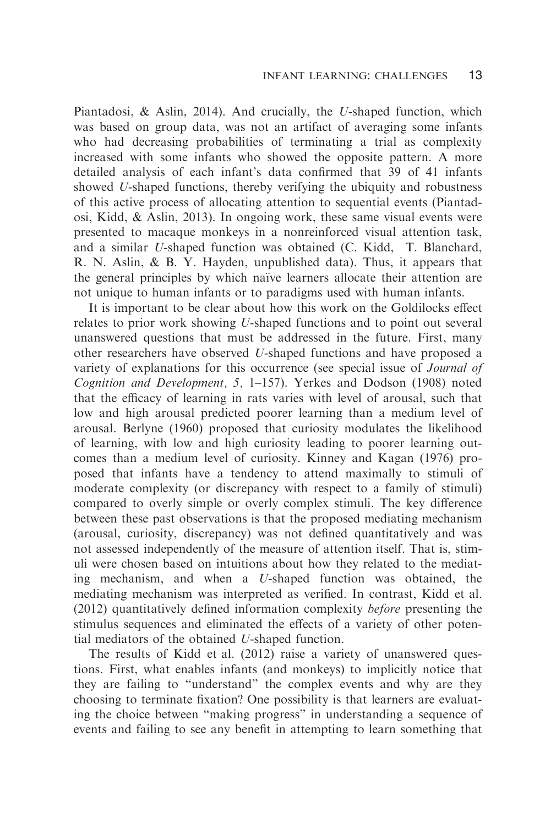Piantadosi, & Aslin, 2014). And crucially, the U-shaped function, which was based on group data, was not an artifact of averaging some infants who had decreasing probabilities of terminating a trial as complexity increased with some infants who showed the opposite pattern. A more detailed analysis of each infant's data confirmed that 39 of 41 infants showed U-shaped functions, thereby verifying the ubiquity and robustness of this active process of allocating attention to sequential events (Piantadosi, Kidd, & Aslin, 2013). In ongoing work, these same visual events were presented to macaque monkeys in a nonreinforced visual attention task, and a similar U-shaped function was obtained (C. Kidd, T. Blanchard, R. N. Aslin, & B. Y. Hayden, unpublished data). Thus, it appears that the general principles by which naïve learners allocate their attention are not unique to human infants or to paradigms used with human infants.

It is important to be clear about how this work on the Goldilocks effect relates to prior work showing U-shaped functions and to point out several unanswered questions that must be addressed in the future. First, many other researchers have observed U-shaped functions and have proposed a variety of explanations for this occurrence (see special issue of *Journal of* Cognition and Development, 5, 1–157). Yerkes and Dodson (1908) noted that the efficacy of learning in rats varies with level of arousal, such that low and high arousal predicted poorer learning than a medium level of arousal. Berlyne (1960) proposed that curiosity modulates the likelihood of learning, with low and high curiosity leading to poorer learning outcomes than a medium level of curiosity. Kinney and Kagan (1976) proposed that infants have a tendency to attend maximally to stimuli of moderate complexity (or discrepancy with respect to a family of stimuli) compared to overly simple or overly complex stimuli. The key difference between these past observations is that the proposed mediating mechanism (arousal, curiosity, discrepancy) was not defined quantitatively and was not assessed independently of the measure of attention itself. That is, stimuli were chosen based on intuitions about how they related to the mediating mechanism, and when a U-shaped function was obtained, the mediating mechanism was interpreted as verified. In contrast, Kidd et al. (2012) quantitatively defined information complexity before presenting the stimulus sequences and eliminated the effects of a variety of other potential mediators of the obtained U-shaped function.

The results of Kidd et al. (2012) raise a variety of unanswered questions. First, what enables infants (and monkeys) to implicitly notice that they are failing to "understand" the complex events and why are they choosing to terminate fixation? One possibility is that learners are evaluating the choice between "making progress" in understanding a sequence of events and failing to see any benefit in attempting to learn something that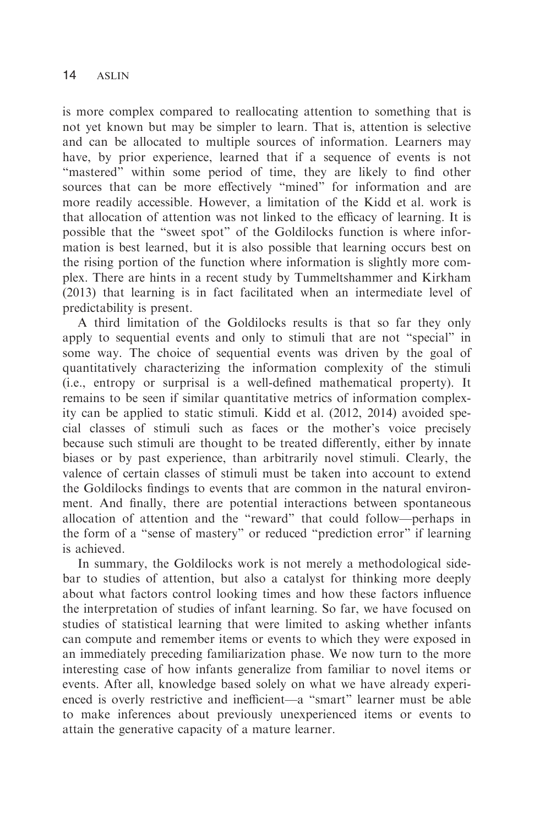is more complex compared to reallocating attention to something that is not yet known but may be simpler to learn. That is, attention is selective and can be allocated to multiple sources of information. Learners may have, by prior experience, learned that if a sequence of events is not "mastered" within some period of time, they are likely to find other sources that can be more effectively "mined" for information and are more readily accessible. However, a limitation of the Kidd et al. work is that allocation of attention was not linked to the efficacy of learning. It is possible that the "sweet spot" of the Goldilocks function is where information is best learned, but it is also possible that learning occurs best on the rising portion of the function where information is slightly more complex. There are hints in a recent study by Tummeltshammer and Kirkham (2013) that learning is in fact facilitated when an intermediate level of predictability is present.

A third limitation of the Goldilocks results is that so far they only apply to sequential events and only to stimuli that are not "special" in some way. The choice of sequential events was driven by the goal of quantitatively characterizing the information complexity of the stimuli (i.e., entropy or surprisal is a well-defined mathematical property). It remains to be seen if similar quantitative metrics of information complexity can be applied to static stimuli. Kidd et al. (2012, 2014) avoided special classes of stimuli such as faces or the mother's voice precisely because such stimuli are thought to be treated differently, either by innate biases or by past experience, than arbitrarily novel stimuli. Clearly, the valence of certain classes of stimuli must be taken into account to extend the Goldilocks findings to events that are common in the natural environment. And finally, there are potential interactions between spontaneous allocation of attention and the "reward" that could follow—perhaps in the form of a "sense of mastery" or reduced "prediction error" if learning is achieved.

In summary, the Goldilocks work is not merely a methodological sidebar to studies of attention, but also a catalyst for thinking more deeply about what factors control looking times and how these factors influence the interpretation of studies of infant learning. So far, we have focused on studies of statistical learning that were limited to asking whether infants can compute and remember items or events to which they were exposed in an immediately preceding familiarization phase. We now turn to the more interesting case of how infants generalize from familiar to novel items or events. After all, knowledge based solely on what we have already experienced is overly restrictive and inefficient—a "smart" learner must be able to make inferences about previously unexperienced items or events to attain the generative capacity of a mature learner.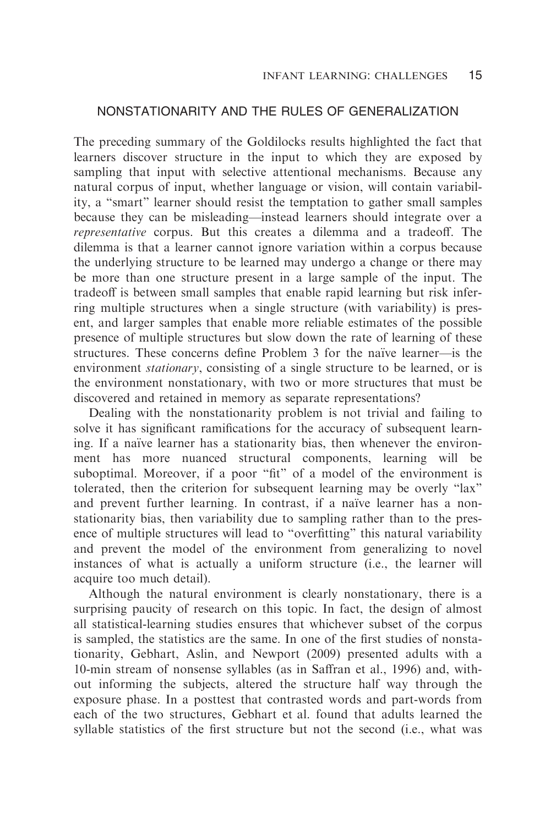# NONSTATIONARITY AND THE RULES OF GENERALIZATION

The preceding summary of the Goldilocks results highlighted the fact that learners discover structure in the input to which they are exposed by sampling that input with selective attentional mechanisms. Because any natural corpus of input, whether language or vision, will contain variability, a "smart" learner should resist the temptation to gather small samples because they can be misleading—instead learners should integrate over a representative corpus. But this creates a dilemma and a tradeoff. The dilemma is that a learner cannot ignore variation within a corpus because the underlying structure to be learned may undergo a change or there may be more than one structure present in a large sample of the input. The tradeoff is between small samples that enable rapid learning but risk inferring multiple structures when a single structure (with variability) is present, and larger samples that enable more reliable estimates of the possible presence of multiple structures but slow down the rate of learning of these structures. These concerns define Problem 3 for the naïve learner—is the environment *stationary*, consisting of a single structure to be learned, or is the environment nonstationary, with two or more structures that must be discovered and retained in memory as separate representations?

Dealing with the nonstationarity problem is not trivial and failing to solve it has significant ramifications for the accuracy of subsequent learning. If a naïve learner has a stationarity bias, then whenever the environment has more nuanced structural components, learning will be suboptimal. Moreover, if a poor "fit" of a model of the environment is tolerated, then the criterion for subsequent learning may be overly "lax" and prevent further learning. In contrast, if a naïve learner has a nonstationarity bias, then variability due to sampling rather than to the presence of multiple structures will lead to "overfitting" this natural variability and prevent the model of the environment from generalizing to novel instances of what is actually a uniform structure (i.e., the learner will acquire too much detail).

Although the natural environment is clearly nonstationary, there is a surprising paucity of research on this topic. In fact, the design of almost all statistical-learning studies ensures that whichever subset of the corpus is sampled, the statistics are the same. In one of the first studies of nonstationarity, Gebhart, Aslin, and Newport (2009) presented adults with a 10-min stream of nonsense syllables (as in Saffran et al., 1996) and, without informing the subjects, altered the structure half way through the exposure phase. In a posttest that contrasted words and part-words from each of the two structures, Gebhart et al. found that adults learned the syllable statistics of the first structure but not the second (i.e., what was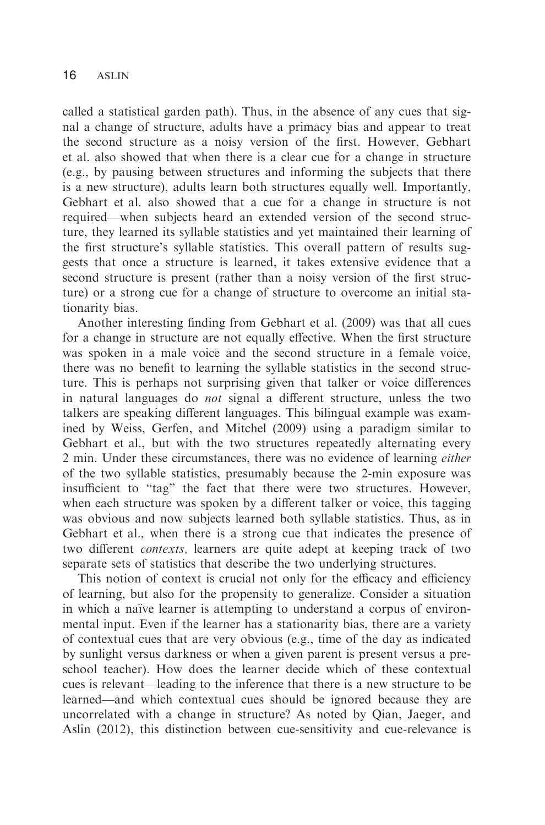called a statistical garden path). Thus, in the absence of any cues that signal a change of structure, adults have a primacy bias and appear to treat the second structure as a noisy version of the first. However, Gebhart et al. also showed that when there is a clear cue for a change in structure (e.g., by pausing between structures and informing the subjects that there is a new structure), adults learn both structures equally well. Importantly, Gebhart et al. also showed that a cue for a change in structure is not required—when subjects heard an extended version of the second structure, they learned its syllable statistics and yet maintained their learning of the first structure's syllable statistics. This overall pattern of results suggests that once a structure is learned, it takes extensive evidence that a second structure is present (rather than a noisy version of the first structure) or a strong cue for a change of structure to overcome an initial stationarity bias.

Another interesting finding from Gebhart et al. (2009) was that all cues for a change in structure are not equally effective. When the first structure was spoken in a male voice and the second structure in a female voice, there was no benefit to learning the syllable statistics in the second structure. This is perhaps not surprising given that talker or voice differences in natural languages do not signal a different structure, unless the two talkers are speaking different languages. This bilingual example was examined by Weiss, Gerfen, and Mitchel (2009) using a paradigm similar to Gebhart et al., but with the two structures repeatedly alternating every 2 min. Under these circumstances, there was no evidence of learning *either* of the two syllable statistics, presumably because the 2-min exposure was insufficient to "tag" the fact that there were two structures. However, when each structure was spoken by a different talker or voice, this tagging was obvious and now subjects learned both syllable statistics. Thus, as in Gebhart et al., when there is a strong cue that indicates the presence of two different contexts, learners are quite adept at keeping track of two separate sets of statistics that describe the two underlying structures.

This notion of context is crucial not only for the efficacy and efficiency of learning, but also for the propensity to generalize. Consider a situation in which a naïve learner is attempting to understand a corpus of environmental input. Even if the learner has a stationarity bias, there are a variety of contextual cues that are very obvious (e.g., time of the day as indicated by sunlight versus darkness or when a given parent is present versus a preschool teacher). How does the learner decide which of these contextual cues is relevant—leading to the inference that there is a new structure to be learned—and which contextual cues should be ignored because they are uncorrelated with a change in structure? As noted by Qian, Jaeger, and Aslin (2012), this distinction between cue-sensitivity and cue-relevance is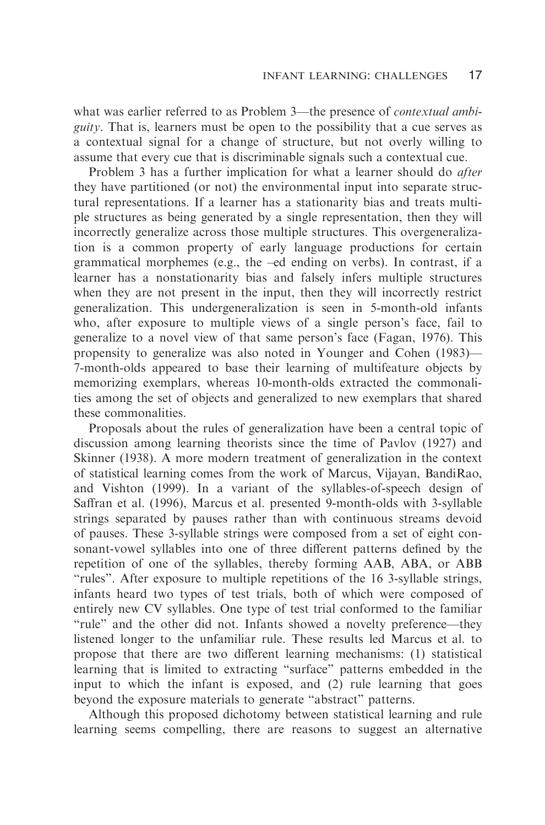what was earlier referred to as Problem 3—the presence of *contextual ambi*guity. That is, learners must be open to the possibility that a cue serves as a contextual signal for a change of structure, but not overly willing to assume that every cue that is discriminable signals such a contextual cue.

Problem 3 has a further implication for what a learner should do *after* they have partitioned (or not) the environmental input into separate structural representations. If a learner has a stationarity bias and treats multiple structures as being generated by a single representation, then they will incorrectly generalize across those multiple structures. This overgeneralization is a common property of early language productions for certain grammatical morphemes (e.g., the –ed ending on verbs). In contrast, if a learner has a nonstationarity bias and falsely infers multiple structures when they are not present in the input, then they will incorrectly restrict generalization. This undergeneralization is seen in 5-month-old infants who, after exposure to multiple views of a single person's face, fail to generalize to a novel view of that same person's face (Fagan, 1976). This propensity to generalize was also noted in Younger and Cohen (1983)— 7-month-olds appeared to base their learning of multifeature objects by memorizing exemplars, whereas 10-month-olds extracted the commonalities among the set of objects and generalized to new exemplars that shared these commonalities.

Proposals about the rules of generalization have been a central topic of discussion among learning theorists since the time of Pavlov (1927) and Skinner (1938). A more modern treatment of generalization in the context of statistical learning comes from the work of Marcus, Vijayan, BandiRao, and Vishton (1999). In a variant of the syllables-of-speech design of Saffran et al. (1996), Marcus et al. presented 9-month-olds with 3-syllable strings separated by pauses rather than with continuous streams devoid of pauses. These 3-syllable strings were composed from a set of eight consonant-vowel syllables into one of three different patterns defined by the repetition of one of the syllables, thereby forming AAB, ABA, or ABB "rules". After exposure to multiple repetitions of the 16 3-syllable strings, infants heard two types of test trials, both of which were composed of entirely new CV syllables. One type of test trial conformed to the familiar "rule" and the other did not. Infants showed a novelty preference—they listened longer to the unfamiliar rule. These results led Marcus et al. to propose that there are two different learning mechanisms: (1) statistical learning that is limited to extracting "surface" patterns embedded in the input to which the infant is exposed, and (2) rule learning that goes beyond the exposure materials to generate "abstract" patterns.

Although this proposed dichotomy between statistical learning and rule learning seems compelling, there are reasons to suggest an alternative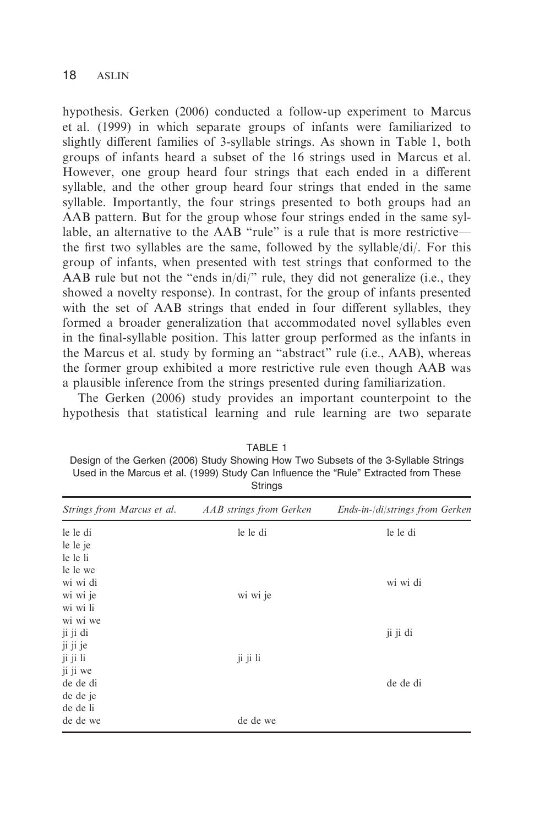hypothesis. Gerken (2006) conducted a follow-up experiment to Marcus et al. (1999) in which separate groups of infants were familiarized to slightly different families of 3-syllable strings. As shown in Table 1, both groups of infants heard a subset of the 16 strings used in Marcus et al. However, one group heard four strings that each ended in a different syllable, and the other group heard four strings that ended in the same syllable. Importantly, the four strings presented to both groups had an AAB pattern. But for the group whose four strings ended in the same syllable, an alternative to the AAB "rule" is a rule that is more restrictive the first two syllables are the same, followed by the syllable/di/. For this group of infants, when presented with test strings that conformed to the AAB rule but not the "ends in/di/" rule, they did not generalize (i.e., they showed a novelty response). In contrast, for the group of infants presented with the set of AAB strings that ended in four different syllables, they formed a broader generalization that accommodated novel syllables even in the final-syllable position. This latter group performed as the infants in the Marcus et al. study by forming an "abstract" rule (i.e., AAB), whereas the former group exhibited a more restrictive rule even though AAB was a plausible inference from the strings presented during familiarization.

The Gerken (2006) study provides an important counterpoint to the hypothesis that statistical learning and rule learning are two separate

| ətrings                    |                         |                                 |
|----------------------------|-------------------------|---------------------------------|
| Strings from Marcus et al. | AAB strings from Gerken | Ends-in-/di/strings from Gerken |
| le le di                   | le le di                | le le di                        |
| le le je                   |                         |                                 |
| le le li                   |                         |                                 |
| le le we                   |                         |                                 |
| wi wi di                   |                         | wi wi di                        |
| wi wi je                   | wi wi je                |                                 |
| wi wi li                   |                         |                                 |
| wi wi we                   |                         |                                 |
| ji ji di                   |                         | ji ji di                        |
| ji ji je                   |                         |                                 |
| ji ji li                   | ji ji li                |                                 |
| ji ji we                   |                         |                                 |
| de de di                   |                         | de de di                        |
| de de je                   |                         |                                 |
| de de li                   |                         |                                 |
| de de we                   | de de we                |                                 |

TABLE 1 Design of the Gerken (2006) Study Showing How Two Subsets of the 3-Syllable Strings

Used in the Marcus et al. (1999) Study Can Influence the "Rule" Extracted from These  $\sim$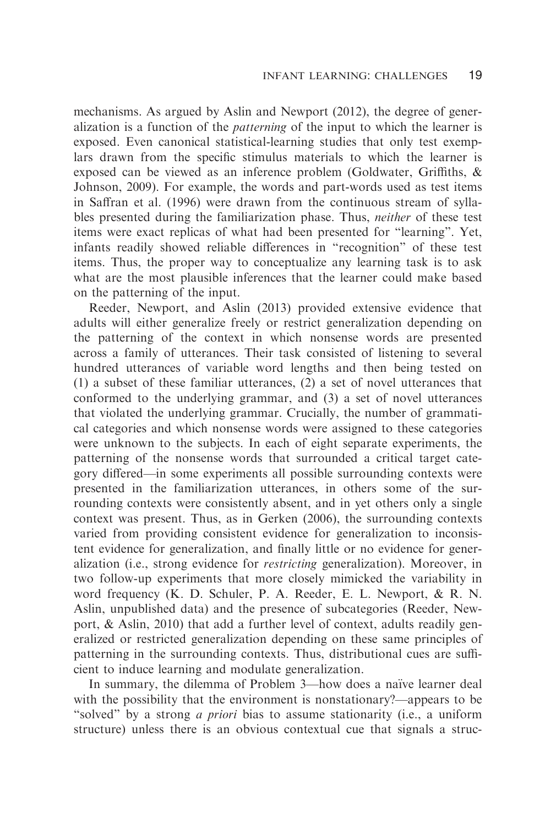mechanisms. As argued by Aslin and Newport (2012), the degree of generalization is a function of the patterning of the input to which the learner is exposed. Even canonical statistical-learning studies that only test exemplars drawn from the specific stimulus materials to which the learner is exposed can be viewed as an inference problem (Goldwater, Griffiths, & Johnson, 2009). For example, the words and part-words used as test items in Saffran et al. (1996) were drawn from the continuous stream of syllables presented during the familiarization phase. Thus, neither of these test items were exact replicas of what had been presented for "learning". Yet, infants readily showed reliable differences in "recognition" of these test items. Thus, the proper way to conceptualize any learning task is to ask what are the most plausible inferences that the learner could make based on the patterning of the input.

Reeder, Newport, and Aslin (2013) provided extensive evidence that adults will either generalize freely or restrict generalization depending on the patterning of the context in which nonsense words are presented across a family of utterances. Their task consisted of listening to several hundred utterances of variable word lengths and then being tested on (1) a subset of these familiar utterances, (2) a set of novel utterances that conformed to the underlying grammar, and (3) a set of novel utterances that violated the underlying grammar. Crucially, the number of grammatical categories and which nonsense words were assigned to these categories were unknown to the subjects. In each of eight separate experiments, the patterning of the nonsense words that surrounded a critical target category differed—in some experiments all possible surrounding contexts were presented in the familiarization utterances, in others some of the surrounding contexts were consistently absent, and in yet others only a single context was present. Thus, as in Gerken (2006), the surrounding contexts varied from providing consistent evidence for generalization to inconsistent evidence for generalization, and finally little or no evidence for generalization (i.e., strong evidence for restricting generalization). Moreover, in two follow-up experiments that more closely mimicked the variability in word frequency (K. D. Schuler, P. A. Reeder, E. L. Newport, & R. N. Aslin, unpublished data) and the presence of subcategories (Reeder, Newport, & Aslin, 2010) that add a further level of context, adults readily generalized or restricted generalization depending on these same principles of patterning in the surrounding contexts. Thus, distributional cues are sufficient to induce learning and modulate generalization.

In summary, the dilemma of Problem 3—how does a naïve learner deal with the possibility that the environment is nonstationary?—appears to be "solved" by a strong a priori bias to assume stationarity (i.e., a uniform structure) unless there is an obvious contextual cue that signals a struc-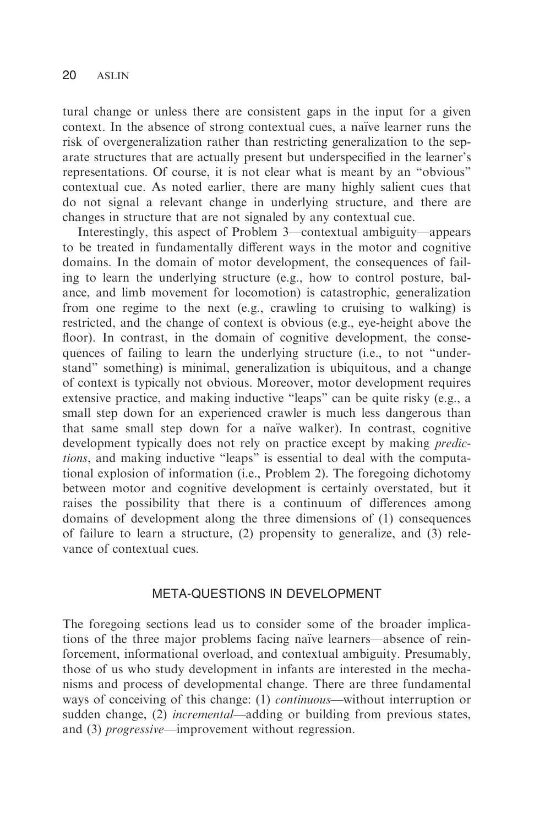tural change or unless there are consistent gaps in the input for a given context. In the absence of strong contextual cues, a naïve learner runs the risk of overgeneralization rather than restricting generalization to the separate structures that are actually present but underspecified in the learner's representations. Of course, it is not clear what is meant by an "obvious" contextual cue. As noted earlier, there are many highly salient cues that do not signal a relevant change in underlying structure, and there are changes in structure that are not signaled by any contextual cue.

Interestingly, this aspect of Problem 3—contextual ambiguity—appears to be treated in fundamentally different ways in the motor and cognitive domains. In the domain of motor development, the consequences of failing to learn the underlying structure (e.g., how to control posture, balance, and limb movement for locomotion) is catastrophic, generalization from one regime to the next (e.g., crawling to cruising to walking) is restricted, and the change of context is obvious (e.g., eye-height above the floor). In contrast, in the domain of cognitive development, the consequences of failing to learn the underlying structure (i.e., to not "understand" something) is minimal, generalization is ubiquitous, and a change of context is typically not obvious. Moreover, motor development requires extensive practice, and making inductive "leaps" can be quite risky (e.g., a small step down for an experienced crawler is much less dangerous than that same small step down for a naïve walker). In contrast, cognitive development typically does not rely on practice except by making predictions, and making inductive "leaps" is essential to deal with the computational explosion of information (i.e., Problem 2). The foregoing dichotomy between motor and cognitive development is certainly overstated, but it raises the possibility that there is a continuum of differences among domains of development along the three dimensions of (1) consequences of failure to learn a structure, (2) propensity to generalize, and (3) relevance of contextual cues.

#### META-QUESTIONS IN DEVELOPMENT

The foregoing sections lead us to consider some of the broader implications of the three major problems facing naïve learners—absence of reinforcement, informational overload, and contextual ambiguity. Presumably, those of us who study development in infants are interested in the mechanisms and process of developmental change. There are three fundamental ways of conceiving of this change: (1) *continuous*—without interruption or sudden change, (2) incremental—adding or building from previous states, and (3) progressive—improvement without regression.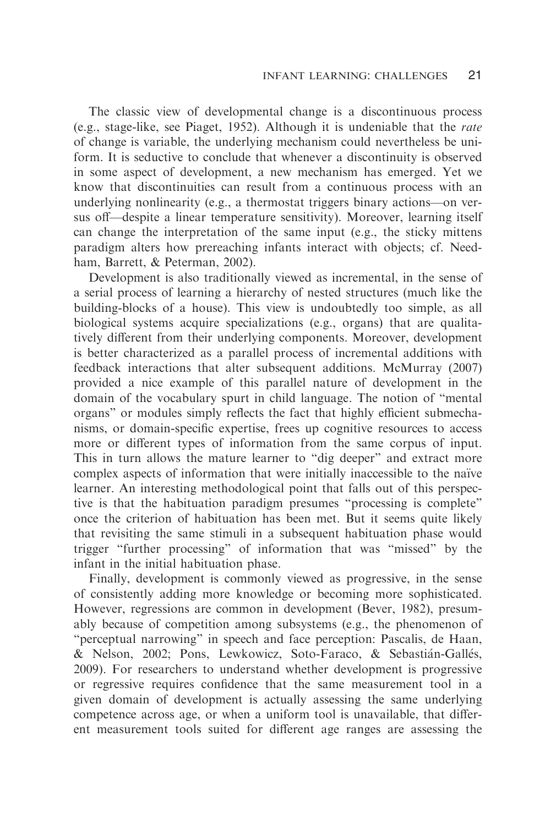The classic view of developmental change is a discontinuous process (e.g., stage-like, see Piaget, 1952). Although it is undeniable that the rate of change is variable, the underlying mechanism could nevertheless be uniform. It is seductive to conclude that whenever a discontinuity is observed in some aspect of development, a new mechanism has emerged. Yet we know that discontinuities can result from a continuous process with an underlying nonlinearity (e.g., a thermostat triggers binary actions—on versus off—despite a linear temperature sensitivity). Moreover, learning itself can change the interpretation of the same input (e.g., the sticky mittens paradigm alters how prereaching infants interact with objects; cf. Needham, Barrett, & Peterman, 2002).

Development is also traditionally viewed as incremental, in the sense of a serial process of learning a hierarchy of nested structures (much like the building-blocks of a house). This view is undoubtedly too simple, as all biological systems acquire specializations (e.g., organs) that are qualitatively different from their underlying components. Moreover, development is better characterized as a parallel process of incremental additions with feedback interactions that alter subsequent additions. McMurray (2007) provided a nice example of this parallel nature of development in the domain of the vocabulary spurt in child language. The notion of "mental organs" or modules simply reflects the fact that highly efficient submechanisms, or domain-specific expertise, frees up cognitive resources to access more or different types of information from the same corpus of input. This in turn allows the mature learner to "dig deeper" and extract more complex aspects of information that were initially inaccessible to the naïve learner. An interesting methodological point that falls out of this perspective is that the habituation paradigm presumes "processing is complete" once the criterion of habituation has been met. But it seems quite likely that revisiting the same stimuli in a subsequent habituation phase would trigger "further processing" of information that was "missed" by the infant in the initial habituation phase.

Finally, development is commonly viewed as progressive, in the sense of consistently adding more knowledge or becoming more sophisticated. However, regressions are common in development (Bever, 1982), presumably because of competition among subsystems (e.g., the phenomenon of "perceptual narrowing" in speech and face perception: Pascalis, de Haan, & Nelson, 2002; Pons, Lewkowicz, Soto-Faraco, & Sebastián-Gallés, 2009). For researchers to understand whether development is progressive or regressive requires confidence that the same measurement tool in a given domain of development is actually assessing the same underlying competence across age, or when a uniform tool is unavailable, that different measurement tools suited for different age ranges are assessing the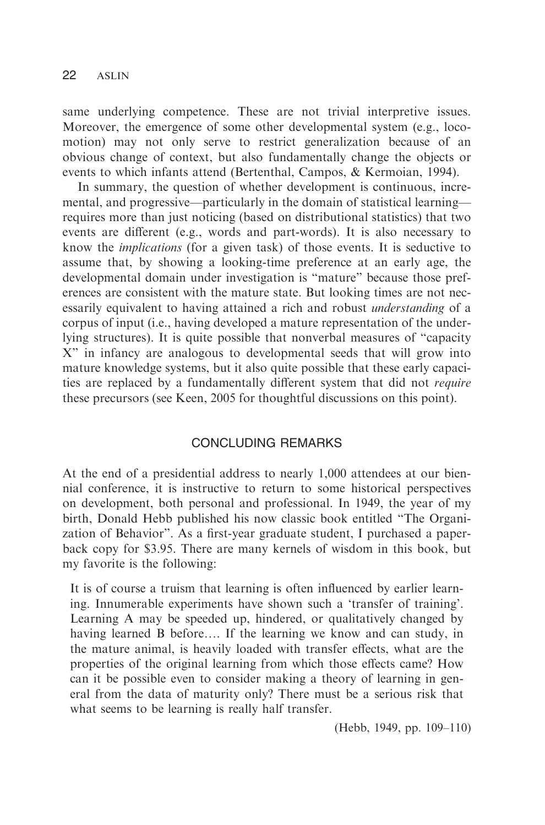same underlying competence. These are not trivial interpretive issues. Moreover, the emergence of some other developmental system (e.g., locomotion) may not only serve to restrict generalization because of an obvious change of context, but also fundamentally change the objects or events to which infants attend (Bertenthal, Campos, & Kermoian, 1994).

In summary, the question of whether development is continuous, incremental, and progressive—particularly in the domain of statistical learning requires more than just noticing (based on distributional statistics) that two events are different (e.g., words and part-words). It is also necessary to know the implications (for a given task) of those events. It is seductive to assume that, by showing a looking-time preference at an early age, the developmental domain under investigation is "mature" because those preferences are consistent with the mature state. But looking times are not necessarily equivalent to having attained a rich and robust understanding of a corpus of input (i.e., having developed a mature representation of the underlying structures). It is quite possible that nonverbal measures of "capacity X" in infancy are analogous to developmental seeds that will grow into mature knowledge systems, but it also quite possible that these early capacities are replaced by a fundamentally different system that did not require these precursors (see Keen, 2005 for thoughtful discussions on this point).

# CONCLUDING REMARKS

At the end of a presidential address to nearly 1,000 attendees at our biennial conference, it is instructive to return to some historical perspectives on development, both personal and professional. In 1949, the year of my birth, Donald Hebb published his now classic book entitled "The Organization of Behavior". As a first-year graduate student, I purchased a paperback copy for \$3.95. There are many kernels of wisdom in this book, but my favorite is the following:

It is of course a truism that learning is often influenced by earlier learning. Innumerable experiments have shown such a 'transfer of training'. Learning A may be speeded up, hindered, or qualitatively changed by having learned B before…. If the learning we know and can study, in the mature animal, is heavily loaded with transfer effects, what are the properties of the original learning from which those effects came? How can it be possible even to consider making a theory of learning in general from the data of maturity only? There must be a serious risk that what seems to be learning is really half transfer.

(Hebb, 1949, pp. 109–110)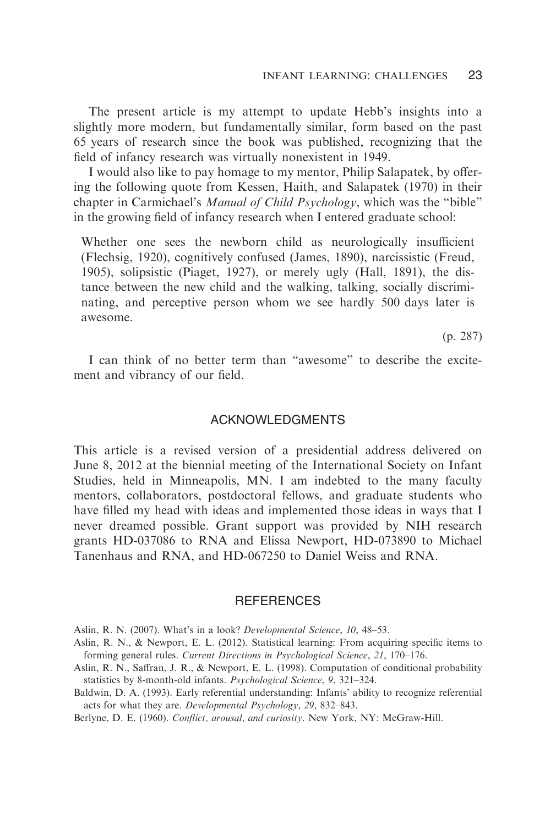The present article is my attempt to update Hebb's insights into a slightly more modern, but fundamentally similar, form based on the past 65 years of research since the book was published, recognizing that the field of infancy research was virtually nonexistent in 1949.

I would also like to pay homage to my mentor, Philip Salapatek, by offering the following quote from Kessen, Haith, and Salapatek (1970) in their chapter in Carmichael's Manual of Child Psychology, which was the "bible" in the growing field of infancy research when I entered graduate school:

Whether one sees the newborn child as neurologically insufficient (Flechsig, 1920), cognitively confused (James, 1890), narcissistic (Freud, 1905), solipsistic (Piaget, 1927), or merely ugly (Hall, 1891), the distance between the new child and the walking, talking, socially discriminating, and perceptive person whom we see hardly 500 days later is awesome.

(p. 287)

I can think of no better term than "awesome" to describe the excitement and vibrancy of our field.

# ACKNOWLEDGMENTS

This article is a revised version of a presidential address delivered on June 8, 2012 at the biennial meeting of the International Society on Infant Studies, held in Minneapolis, MN. I am indebted to the many faculty mentors, collaborators, postdoctoral fellows, and graduate students who have filled my head with ideas and implemented those ideas in ways that I never dreamed possible. Grant support was provided by NIH research grants HD-037086 to RNA and Elissa Newport, HD-073890 to Michael Tanenhaus and RNA, and HD-067250 to Daniel Weiss and RNA.

## **REFERENCES**

Aslin, R. N. (2007). What's in a look? Developmental Science, 10, 48–53.

- Aslin, R. N., & Newport, E. L. (2012). Statistical learning: From acquiring specific items to forming general rules. Current Directions in Psychological Science, 21, 170–176.
- Aslin, R. N., Saffran, J. R., & Newport, E. L. (1998). Computation of conditional probability statistics by 8-month-old infants. Psychological Science, 9, 321–324.
- Baldwin, D. A. (1993). Early referential understanding: Infants' ability to recognize referential acts for what they are. Developmental Psychology, 29, 832–843.

Berlyne, D. E. (1960). Conflict, arousal, and curiosity. New York, NY: McGraw-Hill.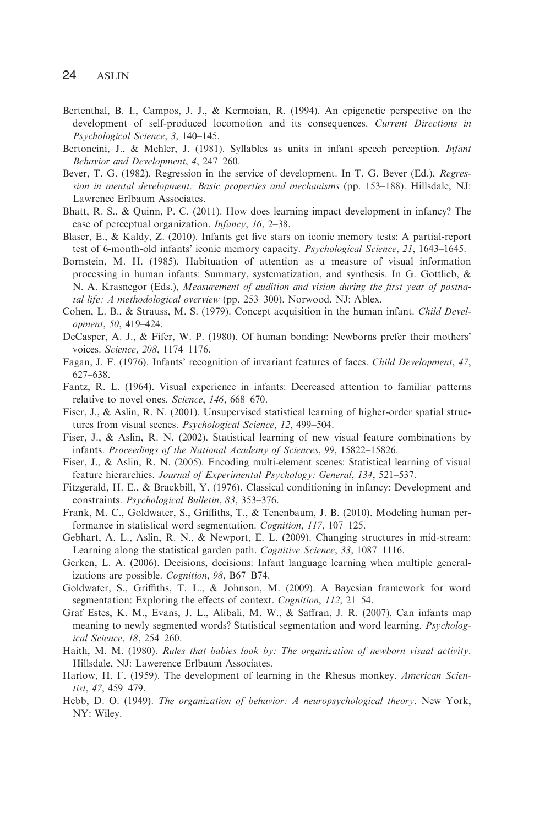- Bertenthal, B. I., Campos, J. J., & Kermoian, R. (1994). An epigenetic perspective on the development of self-produced locomotion and its consequences. Current Directions in Psychological Science, 3, 140–145.
- Bertoncini, J., & Mehler, J. (1981). Syllables as units in infant speech perception. Infant Behavior and Development, 4, 247–260.
- Bever, T. G. (1982). Regression in the service of development. In T. G. Bever (Ed.), Regression in mental development: Basic properties and mechanisms (pp. 153–188). Hillsdale, NJ: Lawrence Erlbaum Associates.
- Bhatt, R. S., & Quinn, P. C. (2011). How does learning impact development in infancy? The case of perceptual organization. Infancy, 16, 2–38.
- Blaser, E., & Kaldy, Z. (2010). Infants get five stars on iconic memory tests: A partial-report test of 6-month-old infants' iconic memory capacity. Psychological Science, 21, 1643-1645.
- Bornstein, M. H. (1985). Habituation of attention as a measure of visual information processing in human infants: Summary, systematization, and synthesis. In G. Gottlieb, & N. A. Krasnegor (Eds.), Measurement of audition and vision during the first year of postnatal life: A methodological overview (pp. 253–300). Norwood, NJ: Ablex.
- Cohen, L. B., & Strauss, M. S. (1979). Concept acquisition in the human infant. Child Development, 50, 419–424.
- DeCasper, A. J., & Fifer, W. P. (1980). Of human bonding: Newborns prefer their mothers' voices. Science, 208, 1174–1176.
- Fagan, J. F. (1976). Infants' recognition of invariant features of faces. Child Development, 47, 627–638.
- Fantz, R. L. (1964). Visual experience in infants: Decreased attention to familiar patterns relative to novel ones. Science, 146, 668–670.
- Fiser, J., & Aslin, R. N. (2001). Unsupervised statistical learning of higher-order spatial structures from visual scenes. Psychological Science, 12, 499-504.
- Fiser, J., & Aslin, R. N. (2002). Statistical learning of new visual feature combinations by infants. Proceedings of the National Academy of Sciences, 99, 15822–15826.
- Fiser, J., & Aslin, R. N. (2005). Encoding multi-element scenes: Statistical learning of visual feature hierarchies. Journal of Experimental Psychology: General, 134, 521–537.
- Fitzgerald, H. E., & Brackbill, Y. (1976). Classical conditioning in infancy: Development and constraints. Psychological Bulletin, 83, 353–376.
- Frank, M. C., Goldwater, S., Griffiths, T., & Tenenbaum, J. B. (2010). Modeling human performance in statistical word segmentation. Cognition, 117, 107–125.
- Gebhart, A. L., Aslin, R. N., & Newport, E. L. (2009). Changing structures in mid-stream: Learning along the statistical garden path. Cognitive Science, 33, 1087–1116.
- Gerken, L. A. (2006). Decisions, decisions: Infant language learning when multiple generalizations are possible. Cognition, 98, B67–B74.
- Goldwater, S., Griffiths, T. L., & Johnson, M. (2009). A Bayesian framework for word segmentation: Exploring the effects of context. Cognition, 112, 21–54.
- Graf Estes, K. M., Evans, J. L., Alibali, M. W., & Saffran, J. R. (2007). Can infants map meaning to newly segmented words? Statistical segmentation and word learning. Psychological Science, 18, 254–260.
- Haith, M. M. (1980). Rules that babies look by: The organization of newborn visual activity. Hillsdale, NJ: Lawerence Erlbaum Associates.
- Harlow, H. F. (1959). The development of learning in the Rhesus monkey. American Scientist, 47, 459–479.
- Hebb, D. O. (1949). The organization of behavior: A neuropsychological theory. New York, NY: Wiley.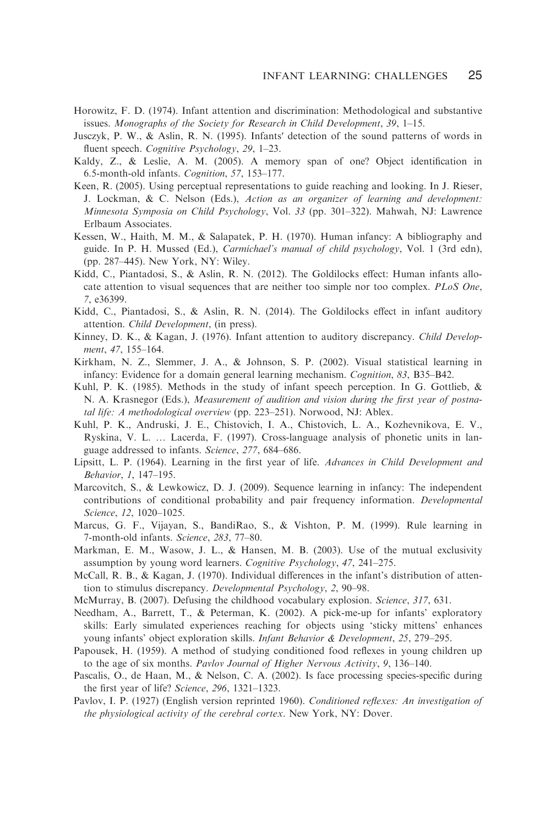- Horowitz, F. D. (1974). Infant attention and discrimination: Methodological and substantive issues. Monographs of the Society for Research in Child Development, 39, 1–15.
- Jusczyk, P. W., & Aslin, R. N. (1995). Infants′ detection of the sound patterns of words in fluent speech. Cognitive Psychology, 29, 1–23.
- Kaldy, Z., & Leslie, A. M. (2005). A memory span of one? Object identification in 6.5-month-old infants. Cognition, 57, 153–177.
- Keen, R. (2005). Using perceptual representations to guide reaching and looking. In J. Rieser, J. Lockman, & C. Nelson (Eds.), Action as an organizer of learning and development: Minnesota Symposia on Child Psychology, Vol. 33 (pp. 301–322). Mahwah, NJ: Lawrence Erlbaum Associates.
- Kessen, W., Haith, M. M., & Salapatek, P. H. (1970). Human infancy: A bibliography and guide. In P. H. Mussed (Ed.), Carmichael's manual of child psychology, Vol. 1 (3rd edn), (pp. 287–445). New York, NY: Wiley.
- Kidd, C., Piantadosi, S., & Aslin, R. N. (2012). The Goldilocks effect: Human infants allocate attention to visual sequences that are neither too simple nor too complex. PLoS One, 7, e36399.
- Kidd, C., Piantadosi, S., & Aslin, R. N. (2014). The Goldilocks effect in infant auditory attention. Child Development, (in press).
- Kinney, D. K., & Kagan, J. (1976). Infant attention to auditory discrepancy. Child Development, 47, 155–164.
- Kirkham, N. Z., Slemmer, J. A., & Johnson, S. P. (2002). Visual statistical learning in infancy: Evidence for a domain general learning mechanism. Cognition, 83, B35–B42.
- Kuhl, P. K. (1985). Methods in the study of infant speech perception. In G. Gottlieb, & N. A. Krasnegor (Eds.), Measurement of audition and vision during the first year of postnatal life: A methodological overview (pp. 223–251). Norwood, NJ: Ablex.
- Kuhl, P. K., Andruski, J. E., Chistovich, I. A., Chistovich, L. A., Kozhevnikova, E. V., Ryskina, V. L. … Lacerda, F. (1997). Cross-language analysis of phonetic units in language addressed to infants. Science, 277, 684–686.
- Lipsitt, L. P. (1964). Learning in the first year of life. Advances in Child Development and Behavior, 1, 147–195.
- Marcovitch, S., & Lewkowicz, D. J. (2009). Sequence learning in infancy: The independent contributions of conditional probability and pair frequency information. Developmental Science, 12, 1020–1025.
- Marcus, G. F., Vijayan, S., BandiRao, S., & Vishton, P. M. (1999). Rule learning in 7-month-old infants. Science, 283, 77–80.
- Markman, E. M., Wasow, J. L., & Hansen, M. B. (2003). Use of the mutual exclusivity assumption by young word learners. Cognitive Psychology, 47, 241–275.
- McCall, R. B., & Kagan, J. (1970). Individual differences in the infant's distribution of attention to stimulus discrepancy. Developmental Psychology, 2, 90–98.
- McMurray, B. (2007). Defusing the childhood vocabulary explosion. Science, 317, 631.
- Needham, A., Barrett, T., & Peterman, K. (2002). A pick-me-up for infants' exploratory skills: Early simulated experiences reaching for objects using 'sticky mittens' enhances young infants' object exploration skills. Infant Behavior & Development, 25, 279–295.
- Papousek, H. (1959). A method of studying conditioned food reflexes in young children up to the age of six months. Pavlov Journal of Higher Nervous Activity, 9, 136–140.
- Pascalis, O., de Haan, M., & Nelson, C. A. (2002). Is face processing species-specific during the first year of life? Science, 296, 1321–1323.
- Pavlov, I. P. (1927) (English version reprinted 1960). Conditioned reflexes: An investigation of the physiological activity of the cerebral cortex. New York, NY: Dover.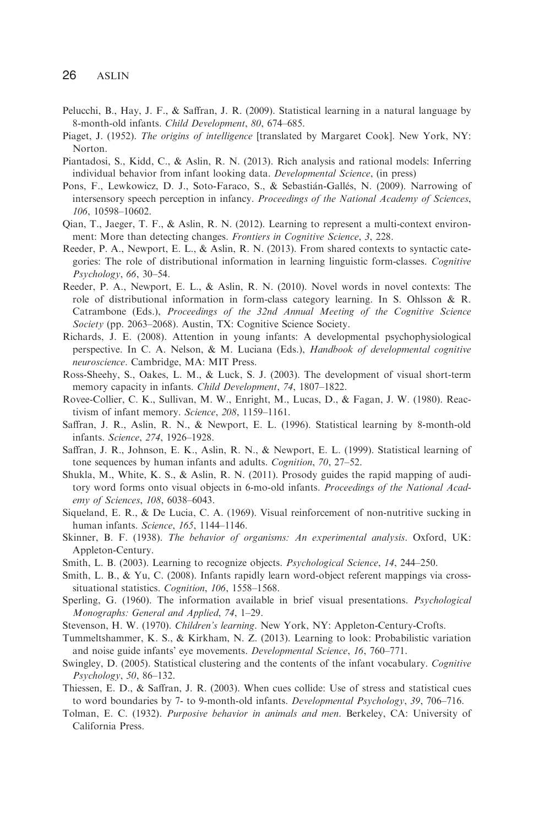- Pelucchi, B., Hay, J. F., & Saffran, J. R. (2009). Statistical learning in a natural language by 8-month-old infants. Child Development, 80, 674–685.
- Piaget, J. (1952). The origins of intelligence [translated by Margaret Cook]. New York, NY: Norton.
- Piantadosi, S., Kidd, C., & Aslin, R. N. (2013). Rich analysis and rational models: Inferring individual behavior from infant looking data. Developmental Science, (in press)
- Pons, F., Lewkowicz, D. J., Soto-Faraco, S., & Sebastián-Gallés, N. (2009). Narrowing of intersensory speech perception in infancy. Proceedings of the National Academy of Sciences, 106, 10598–10602.
- Qian, T., Jaeger, T. F., & Aslin, R. N. (2012). Learning to represent a multi-context environment: More than detecting changes. *Frontiers in Cognitive Science*, 3, 228.
- Reeder, P. A., Newport, E. L., & Aslin, R. N. (2013). From shared contexts to syntactic categories: The role of distributional information in learning linguistic form-classes. Cognitive Psychology, 66, 30–54.
- Reeder, P. A., Newport, E. L., & Aslin, R. N. (2010). Novel words in novel contexts: The role of distributional information in form-class category learning. In S. Ohlsson & R. Catrambone (Eds.), Proceedings of the 32nd Annual Meeting of the Cognitive Science Society (pp. 2063–2068). Austin, TX: Cognitive Science Society.
- Richards, J. E. (2008). Attention in young infants: A developmental psychophysiological perspective. In C. A. Nelson, & M. Luciana (Eds.), Handbook of developmental cognitive neuroscience. Cambridge, MA: MIT Press.
- Ross-Sheehy, S., Oakes, L. M., & Luck, S. J. (2003). The development of visual short-term memory capacity in infants. Child Development, 74, 1807–1822.
- Rovee-Collier, C. K., Sullivan, M. W., Enright, M., Lucas, D., & Fagan, J. W. (1980). Reactivism of infant memory. Science, 208, 1159–1161.
- Saffran, J. R., Aslin, R. N., & Newport, E. L. (1996). Statistical learning by 8-month-old infants. Science, 274, 1926–1928.
- Saffran, J. R., Johnson, E. K., Aslin, R. N., & Newport, E. L. (1999). Statistical learning of tone sequences by human infants and adults. Cognition, 70, 27–52.
- Shukla, M., White, K. S., & Aslin, R. N. (2011). Prosody guides the rapid mapping of auditory word forms onto visual objects in 6-mo-old infants. Proceedings of the National Academy of Sciences, 108, 6038–6043.
- Siqueland, E. R., & De Lucia, C. A. (1969). Visual reinforcement of non-nutritive sucking in human infants. Science, 165, 1144–1146.
- Skinner, B. F. (1938). The behavior of organisms: An experimental analysis. Oxford, UK: Appleton-Century.
- Smith, L. B. (2003). Learning to recognize objects. *Psychological Science*, 14, 244–250.
- Smith, L. B., & Yu, C. (2008). Infants rapidly learn word-object referent mappings via crosssituational statistics. Cognition, 106, 1558–1568.
- Sperling, G. (1960). The information available in brief visual presentations. Psychological Monographs: General and Applied, 74, 1–29.
- Stevenson, H. W. (1970). Children's learning. New York, NY: Appleton-Century-Crofts.
- Tummeltshammer, K. S., & Kirkham, N. Z. (2013). Learning to look: Probabilistic variation and noise guide infants' eye movements. Developmental Science, 16, 760–771.
- Swingley, D. (2005). Statistical clustering and the contents of the infant vocabulary. Cognitive Psychology, 50, 86–132.
- Thiessen, E. D., & Saffran, J. R. (2003). When cues collide: Use of stress and statistical cues to word boundaries by 7- to 9-month-old infants. Developmental Psychology, 39, 706–716.
- Tolman, E. C. (1932). Purposive behavior in animals and men. Berkeley, CA: University of California Press.